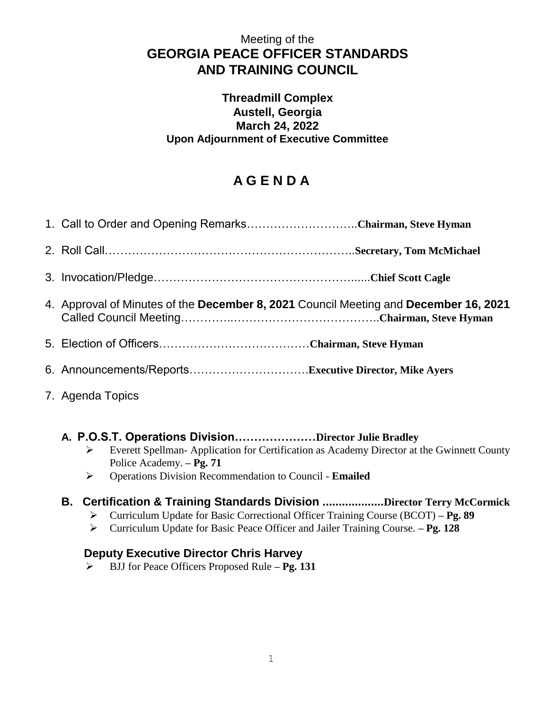## Meeting of the **GEORGIA PEACE OFFICER STANDARDS AND TRAINING COUNCIL**

### **Threadmill Complex Austell, Georgia March 24, 2022 Upon Adjournment of Executive Committee**

# **A G E N D A**

| 1. Call to Order and Opening RemarksChairman, Steve Hyman                            |
|--------------------------------------------------------------------------------------|
|                                                                                      |
|                                                                                      |
| 4. Approval of Minutes of the December 8, 2021 Council Meeting and December 16, 2021 |
|                                                                                      |
|                                                                                      |

7. Agenda Topics

## **A. P.O.S.T. Operations Division…………………Director Julie Bradley**

- Everett Spellman- Application for Certification as Academy Director at the Gwinnett County Police Academy. **– Pg. 71**
- Operations Division Recommendation to Council **Emailed**

## **B. Certification & Training Standards Division ...................Director Terry McCormick**

- Curriculum Update for Basic Correctional Officer Training Course (BCOT) **– Pg. 89**
- Curriculum Update for Basic Peace Officer and Jailer Training Course. **– Pg. 128**

## **Deputy Executive Director Chris Harvey**

BJJ for Peace Officers Proposed Rule **– Pg. 131**